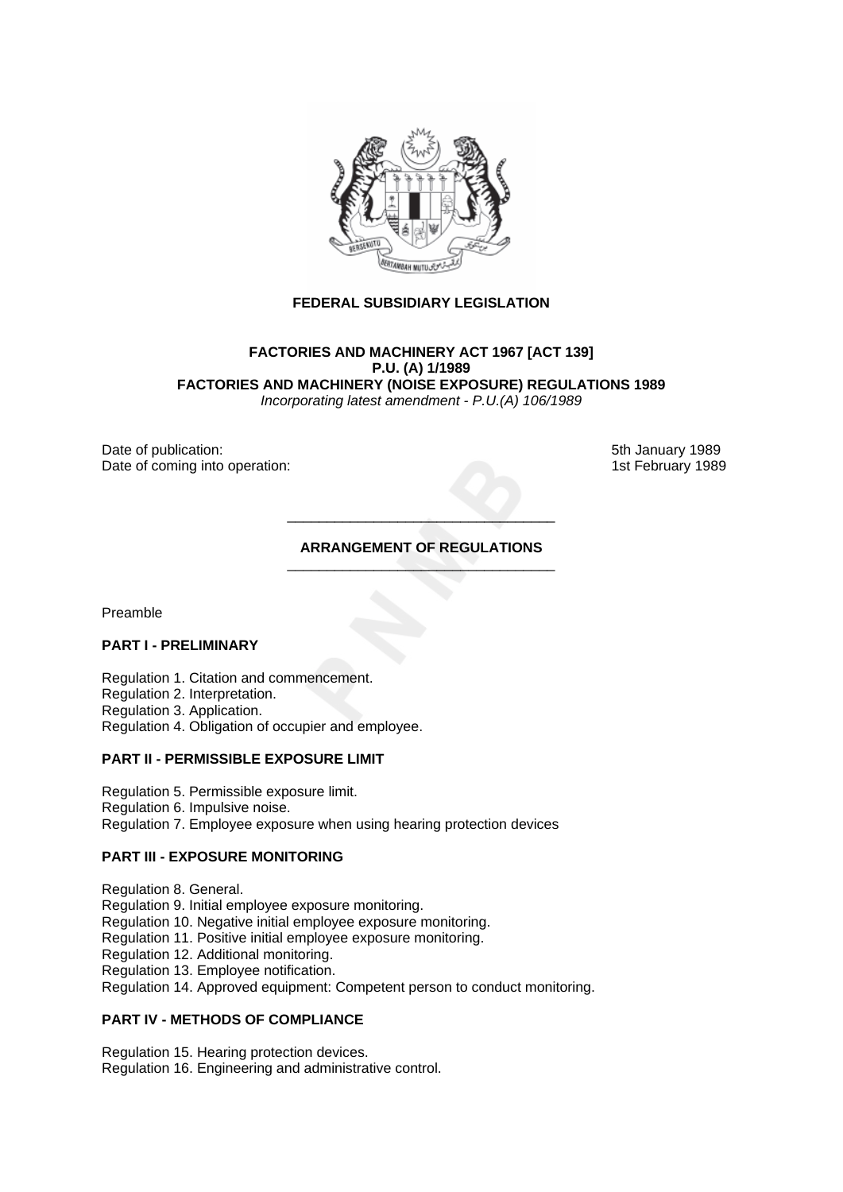

## **FEDERAL SUBSIDIARY LEGISLATION**

#### **FACTORIES AND MACHINERY ACT 1967 [ACT 139] P.U. (A) 1/1989 FACTORIES AND MACHINERY (NOISE EXPOSURE) REGULATIONS 1989**  *Incorporating latest amendment - P.U.(A) 106/1989*

Date of publication: 5th January 1989 Date of coming into operation: 15th February 1989

### **ARRANGEMENT OF REGULATIONS**  \_\_\_\_\_\_\_\_\_\_\_\_\_\_\_\_\_\_\_\_\_\_\_\_\_\_\_\_\_\_\_\_\_\_

\_\_\_\_\_\_\_\_\_\_\_\_\_\_\_\_\_\_\_\_\_\_\_\_\_\_\_\_\_\_\_\_\_\_

Preamble

## **PART I - PRELIMINARY**

Regulation 1. Citation and commencement.

Regulation 2. Interpretation.

Regulation 3. Application.

Regulation 4. Obligation of occupier and employee.

## **PART II - PERMISSIBLE EXPOSURE LIMIT**

Regulation 5. Permissible exposure limit.

Regulation 6. Impulsive noise.

Regulation 7. Employee exposure when using hearing protection devices

## **PART III - EXPOSURE MONITORING**

Regulation 8. General.

Regulation 9. Initial employee exposure monitoring.

Regulation 10. Negative initial employee exposure monitoring.

Regulation 11. Positive initial employee exposure monitoring.

Regulation 12. Additional monitoring.

Regulation 13. Employee notification.

Regulation 14. Approved equipment: Competent person to conduct monitoring.

## **PART IV - METHODS OF COMPLIANCE**

Regulation 15. Hearing protection devices.

Regulation 16. Engineering and administrative control.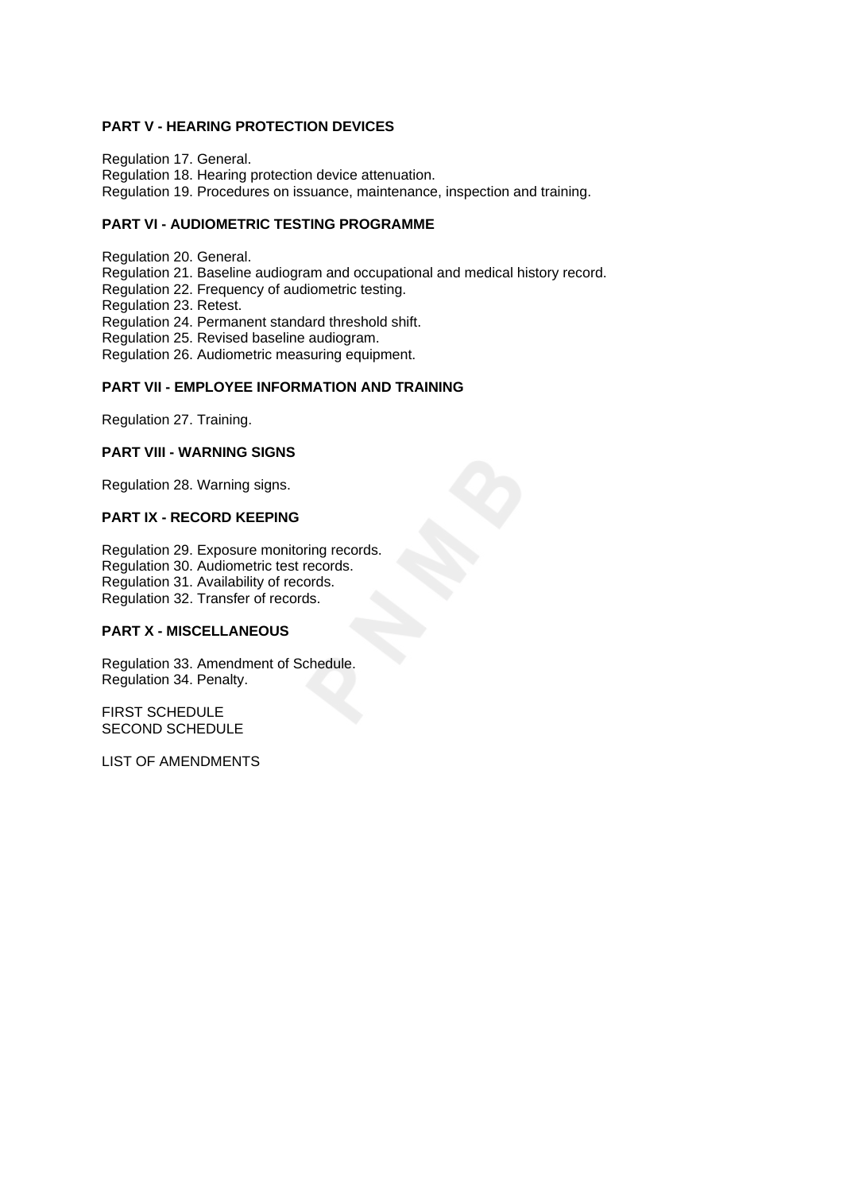## **PART V - HEARING PROTECTION DEVICES**

Regulation 17. General.

Regulation 18. Hearing protection device attenuation.

Regulation 19. Procedures on issuance, maintenance, inspection and training.

## **PART VI - AUDIOMETRIC TESTING PROGRAMME**

Regulation 20. General.

Regulation 21. Baseline audiogram and occupational and medical history record.

- Regulation 22. Frequency of audiometric testing.
- Regulation 23. Retest.

Regulation 24. Permanent standard threshold shift.

Regulation 25. Revised baseline audiogram.

Regulation 26. Audiometric measuring equipment.

## **PART VII - EMPLOYEE INFORMATION AND TRAINING**

Regulation 27. Training.

## **PART VIII - WARNING SIGNS**

Regulation 28. Warning signs.

#### **PART IX - RECORD KEEPING**

Regulation 29. Exposure monitoring records.

Regulation 30. Audiometric test records.

Regulation 31. Availability of records.

Regulation 32. Transfer of records.

## **PART X - MISCELLANEOUS**

Regulation 33. Amendment of Schedule. Regulation 34. Penalty.

FIRST SCHEDULE SECOND SCHEDULE

LIST OF AMENDMENTS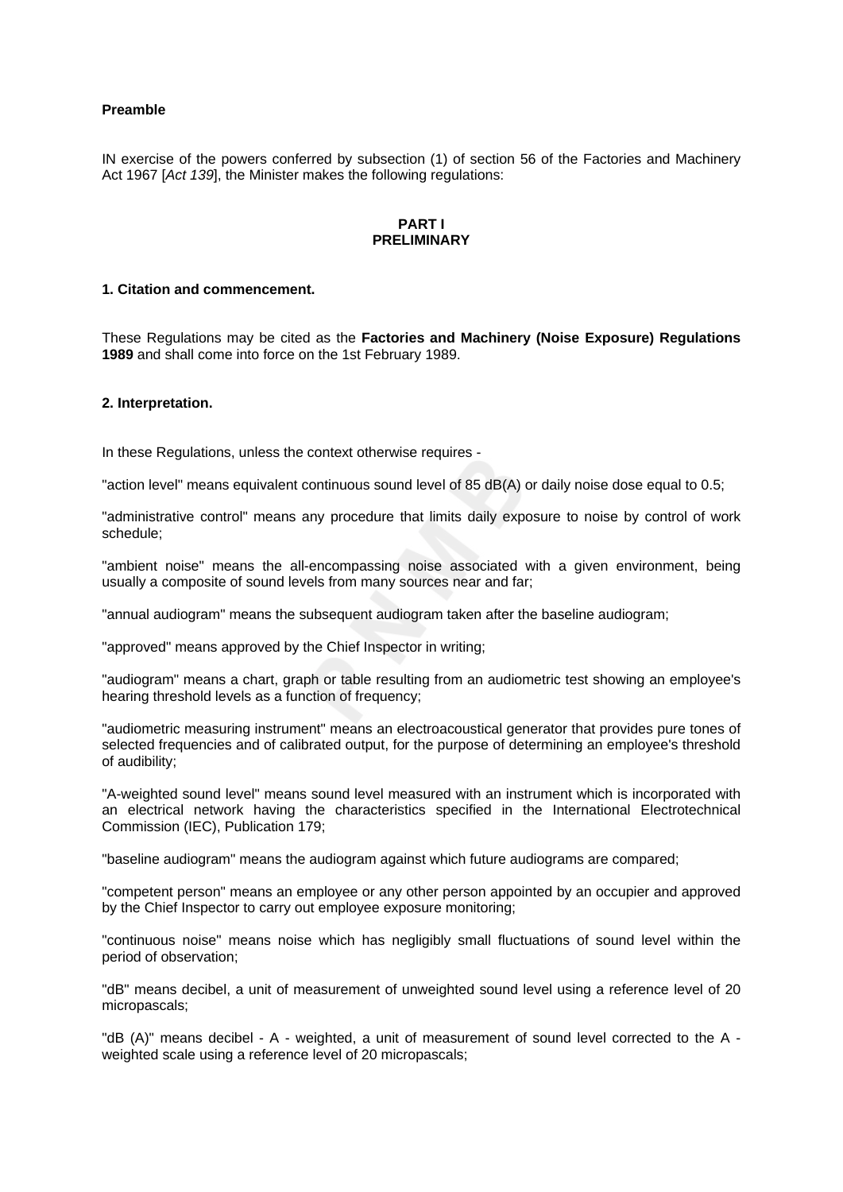## **Preamble**

IN exercise of the powers conferred by subsection (1) of section 56 of the Factories and Machinery Act 1967 [*Act 139*], the Minister makes the following regulations:

#### **PART I PRELIMINARY**

## **1. Citation and commencement.**

These Regulations may be cited as the **Factories and Machinery (Noise Exposure) Regulations 1989** and shall come into force on the 1st February 1989.

#### **2. Interpretation.**

In these Regulations, unless the context otherwise requires -

"action level" means equivalent continuous sound level of 85 dB(A) or daily noise dose equal to 0.5;

"administrative control" means any procedure that limits daily exposure to noise by control of work schedule;

"ambient noise" means the all-encompassing noise associated with a given environment, being usually a composite of sound levels from many sources near and far;

"annual audiogram" means the subsequent audiogram taken after the baseline audiogram;

"approved" means approved by the Chief Inspector in writing;

"audiogram" means a chart, graph or table resulting from an audiometric test showing an employee's hearing threshold levels as a function of frequency;

"audiometric measuring instrument" means an electroacoustical generator that provides pure tones of selected frequencies and of calibrated output, for the purpose of determining an employee's threshold of audibility;

"A-weighted sound level" means sound level measured with an instrument which is incorporated with an electrical network having the characteristics specified in the International Electrotechnical Commission (IEC), Publication 179;

"baseline audiogram" means the audiogram against which future audiograms are compared;

"competent person" means an employee or any other person appointed by an occupier and approved by the Chief Inspector to carry out employee exposure monitoring;

"continuous noise" means noise which has negligibly small fluctuations of sound level within the period of observation;

"dB" means decibel, a unit of measurement of unweighted sound level using a reference level of 20 micropascals;

"dB (A)" means decibel - A - weighted, a unit of measurement of sound level corrected to the A weighted scale using a reference level of 20 micropascals;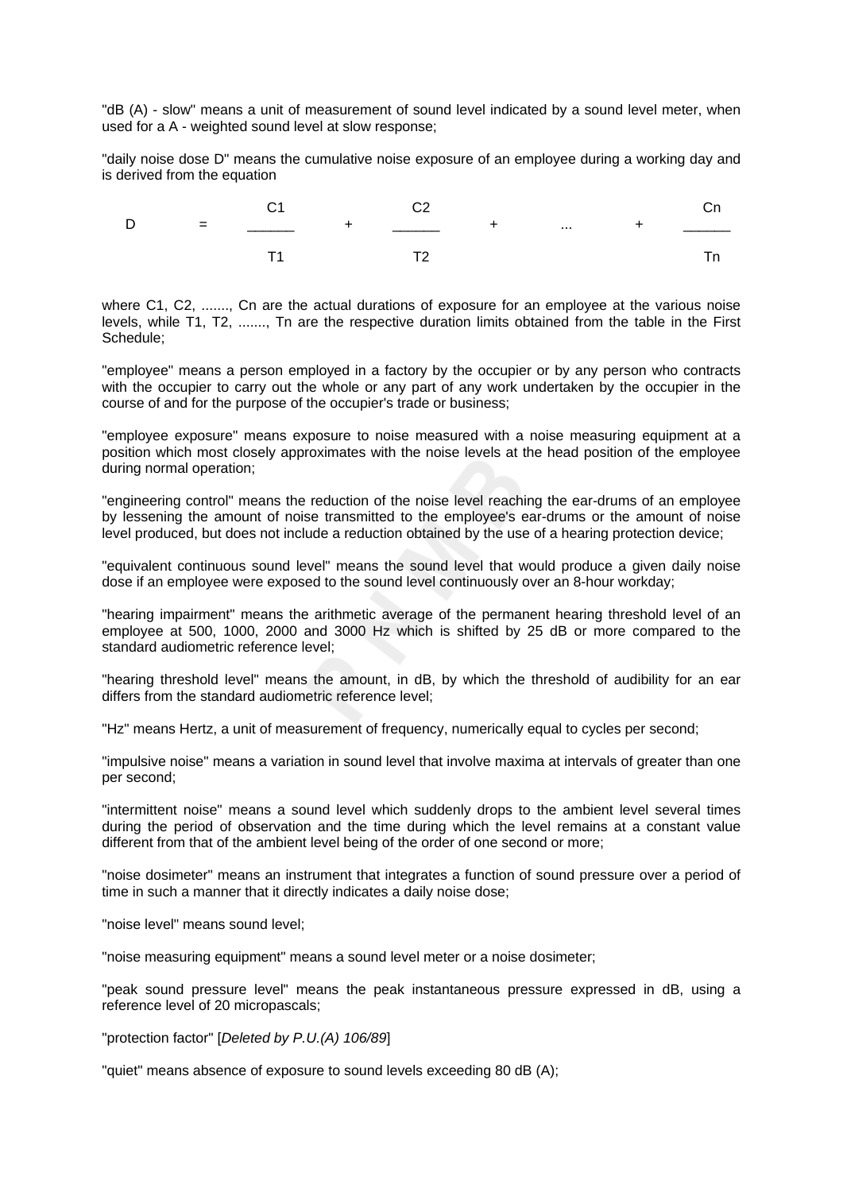"dB (A) - slow" means a unit of measurement of sound level indicated by a sound level meter, when used for a A - weighted sound level at slow response;

"daily noise dose D" means the cumulative noise exposure of an employee during a working day and is derived from the equation

|  |  | C <sub>1</sub> C <sub>2</sub><br>$D$ = ___ + ___ + __ + __ + |  |  |
|--|--|--------------------------------------------------------------|--|--|
|  |  | <b>T1 T2</b>                                                 |  |  |

where C1, C2, ........ Cn are the actual durations of exposure for an employee at the various noise levels, while T1, T2, ......., Tn are the respective duration limits obtained from the table in the First Schedule;

"employee" means a person employed in a factory by the occupier or by any person who contracts with the occupier to carry out the whole or any part of any work undertaken by the occupier in the course of and for the purpose of the occupier's trade or business;

"employee exposure" means exposure to noise measured with a noise measuring equipment at a position which most closely approximates with the noise levels at the head position of the employee during normal operation;

"engineering control" means the reduction of the noise level reaching the ear-drums of an employee by lessening the amount of noise transmitted to the employee's ear-drums or the amount of noise level produced, but does not include a reduction obtained by the use of a hearing protection device;

"equivalent continuous sound level" means the sound level that would produce a given daily noise dose if an employee were exposed to the sound level continuously over an 8-hour workday;

"hearing impairment" means the arithmetic average of the permanent hearing threshold level of an employee at 500, 1000, 2000 and 3000 Hz which is shifted by 25 dB or more compared to the standard audiometric reference level;

"hearing threshold level" means the amount, in dB, by which the threshold of audibility for an ear differs from the standard audiometric reference level;

"Hz" means Hertz, a unit of measurement of frequency, numerically equal to cycles per second;

"impulsive noise" means a variation in sound level that involve maxima at intervals of greater than one per second;

"intermittent noise" means a sound level which suddenly drops to the ambient level several times during the period of observation and the time during which the level remains at a constant value different from that of the ambient level being of the order of one second or more;

"noise dosimeter" means an instrument that integrates a function of sound pressure over a period of time in such a manner that it directly indicates a daily noise dose;

"noise level" means sound level;

"noise measuring equipment" means a sound level meter or a noise dosimeter;

"peak sound pressure level" means the peak instantaneous pressure expressed in dB, using a reference level of 20 micropascals;

"protection factor" [*Deleted by P.U.(A) 106/89*]

"quiet" means absence of exposure to sound levels exceeding 80 dB (A);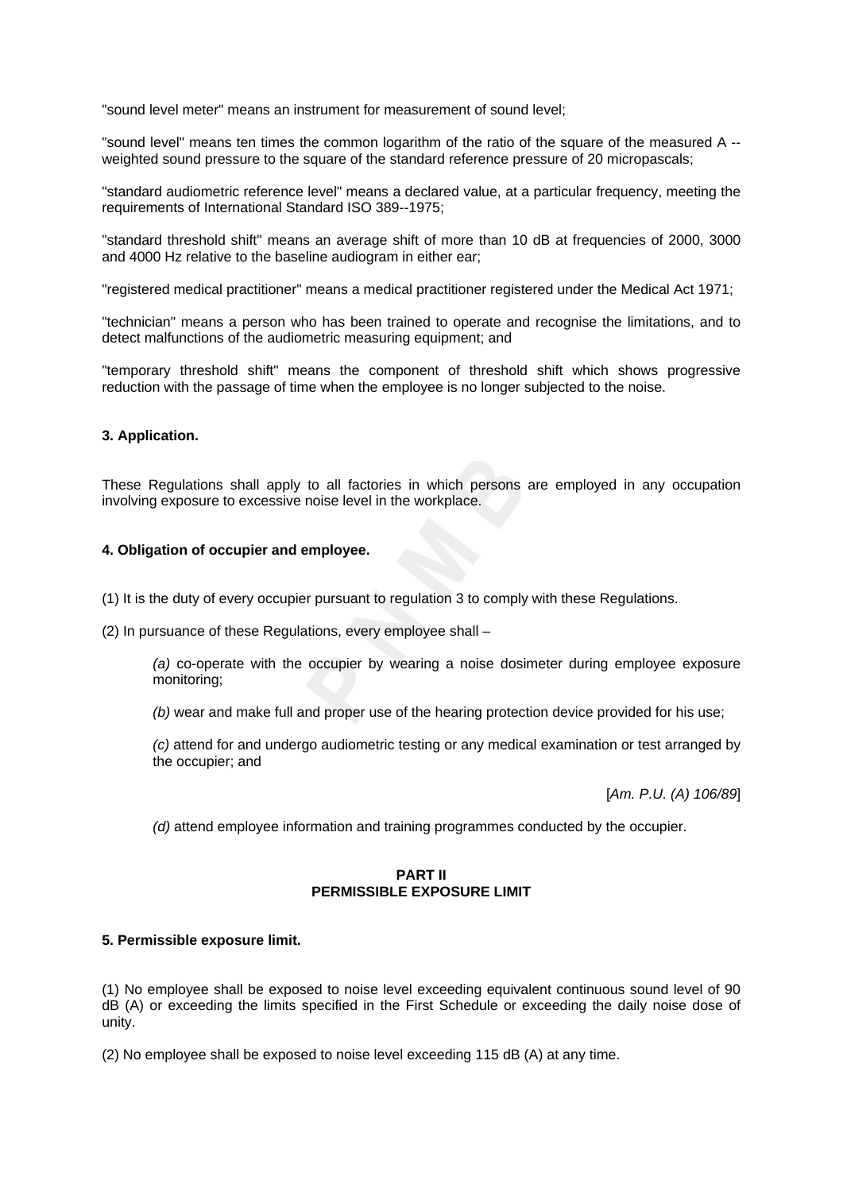"sound level meter" means an instrument for measurement of sound level;

"sound level" means ten times the common logarithm of the ratio of the square of the measured A - weighted sound pressure to the square of the standard reference pressure of 20 micropascals;

"standard audiometric reference level" means a declared value, at a particular frequency, meeting the requirements of International Standard ISO 389--1975;

"standard threshold shift" means an average shift of more than 10 dB at frequencies of 2000, 3000 and 4000 Hz relative to the baseline audiogram in either ear;

"registered medical practitioner" means a medical practitioner registered under the Medical Act 1971;

"technician" means a person who has been trained to operate and recognise the limitations, and to detect malfunctions of the audiometric measuring equipment; and

"temporary threshold shift" means the component of threshold shift which shows progressive reduction with the passage of time when the employee is no longer subjected to the noise.

#### **3. Application.**

These Regulations shall apply to all factories in which persons are employed in any occupation involving exposure to excessive noise level in the workplace.

## **4. Obligation of occupier and employee.**

(1) It is the duty of every occupier pursuant to regulation 3 to comply with these Regulations.

(2) In pursuance of these Regulations, every employee shall –

*(a)* co-operate with the occupier by wearing a noise dosimeter during employee exposure monitoring;

*(b)* wear and make full and proper use of the hearing protection device provided for his use;

*(c)* attend for and undergo audiometric testing or any medical examination or test arranged by the occupier; and

[*Am. P.U. (A) 106/89*]

*(d)* attend employee information and training programmes conducted by the occupier.

## **PART II PERMISSIBLE EXPOSURE LIMIT**

#### **5. Permissible exposure limit.**

(1) No employee shall be exposed to noise level exceeding equivalent continuous sound level of 90 dB (A) or exceeding the limits specified in the First Schedule or exceeding the daily noise dose of unity.

(2) No employee shall be exposed to noise level exceeding 115 dB (A) at any time.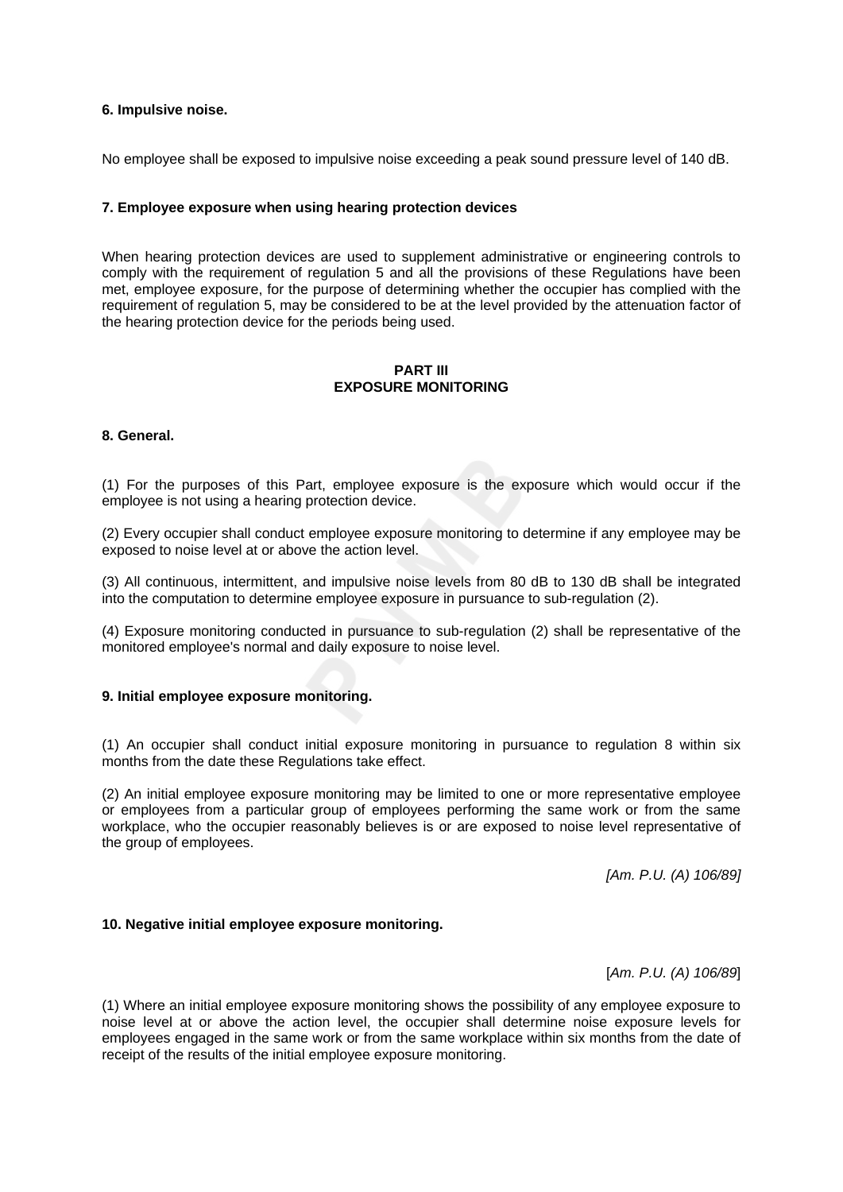## **6. Impulsive noise.**

No employee shall be exposed to impulsive noise exceeding a peak sound pressure level of 140 dB.

#### **7. Employee exposure when using hearing protection devices**

When hearing protection devices are used to supplement administrative or engineering controls to comply with the requirement of regulation 5 and all the provisions of these Regulations have been met, employee exposure, for the purpose of determining whether the occupier has complied with the requirement of regulation 5, may be considered to be at the level provided by the attenuation factor of the hearing protection device for the periods being used.

### **PART III EXPOSURE MONITORING**

## **8. General.**

(1) For the purposes of this Part, employee exposure is the exposure which would occur if the employee is not using a hearing protection device.

(2) Every occupier shall conduct employee exposure monitoring to determine if any employee may be exposed to noise level at or above the action level.

(3) All continuous, intermittent, and impulsive noise levels from 80 dB to 130 dB shall be integrated into the computation to determine employee exposure in pursuance to sub-regulation (2).

(4) Exposure monitoring conducted in pursuance to sub-regulation (2) shall be representative of the monitored employee's normal and daily exposure to noise level.

#### **9. Initial employee exposure monitoring.**

(1) An occupier shall conduct initial exposure monitoring in pursuance to regulation 8 within six months from the date these Regulations take effect.

(2) An initial employee exposure monitoring may be limited to one or more representative employee or employees from a particular group of employees performing the same work or from the same workplace, who the occupier reasonably believes is or are exposed to noise level representative of the group of employees.

*[Am. P.U. (A) 106/89]*

#### **10. Negative initial employee exposure monitoring.**

[*Am. P.U. (A) 106/89*]

(1) Where an initial employee exposure monitoring shows the possibility of any employee exposure to noise level at or above the action level, the occupier shall determine noise exposure levels for employees engaged in the same work or from the same workplace within six months from the date of receipt of the results of the initial employee exposure monitoring.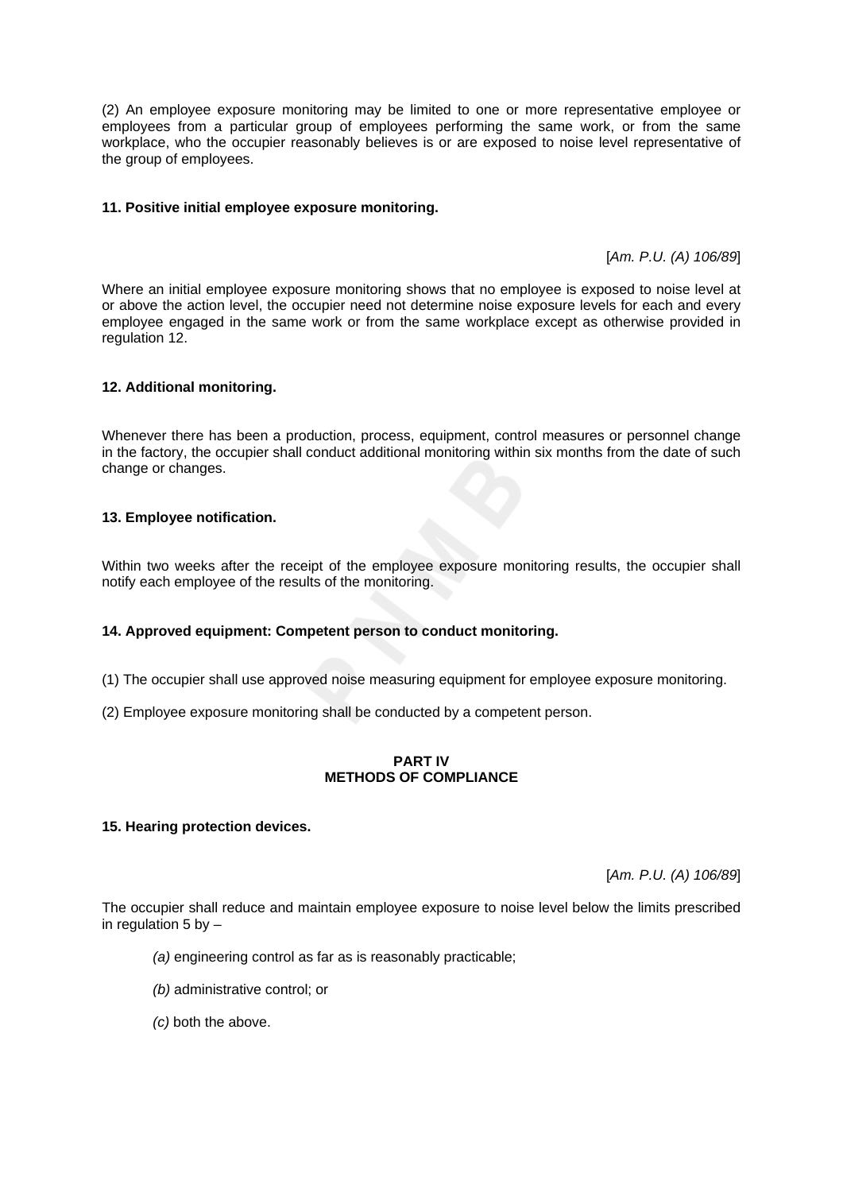(2) An employee exposure monitoring may be limited to one or more representative employee or employees from a particular group of employees performing the same work, or from the same workplace, who the occupier reasonably believes is or are exposed to noise level representative of the group of employees.

## **11. Positive initial employee exposure monitoring.**

[*Am. P.U. (A) 106/89*]

Where an initial employee exposure monitoring shows that no employee is exposed to noise level at or above the action level, the occupier need not determine noise exposure levels for each and every employee engaged in the same work or from the same workplace except as otherwise provided in regulation 12.

#### **12. Additional monitoring.**

Whenever there has been a production, process, equipment, control measures or personnel change in the factory, the occupier shall conduct additional monitoring within six months from the date of such change or changes.

#### **13. Employee notification.**

Within two weeks after the receipt of the employee exposure monitoring results, the occupier shall notify each employee of the results of the monitoring.

#### **14. Approved equipment: Competent person to conduct monitoring.**

(1) The occupier shall use approved noise measuring equipment for employee exposure monitoring.

(2) Employee exposure monitoring shall be conducted by a competent person.

#### **PART IV METHODS OF COMPLIANCE**

#### **15. Hearing protection devices.**

[*Am. P.U. (A) 106/89*]

The occupier shall reduce and maintain employee exposure to noise level below the limits prescribed in regulation  $5$  by  $-$ 

- *(a)* engineering control as far as is reasonably practicable;
- *(b)* administrative control; or
- *(c)* both the above.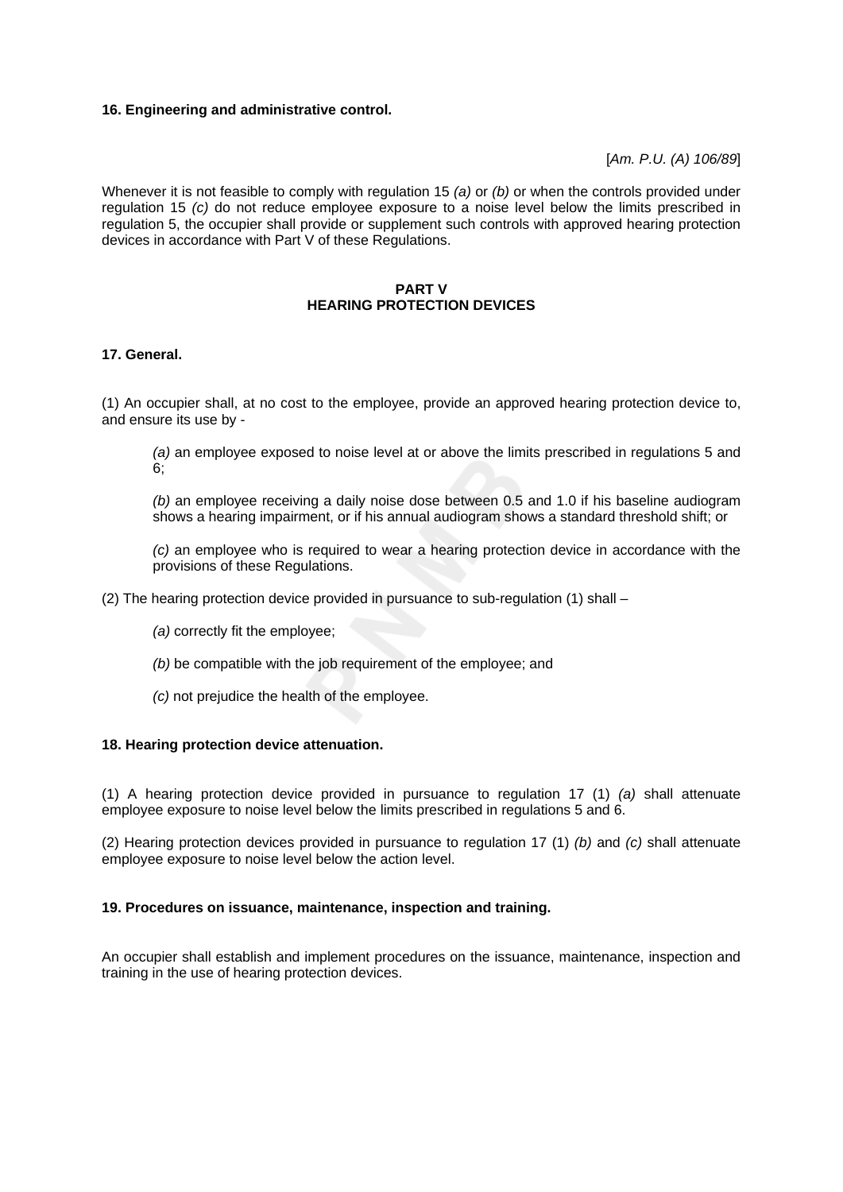## **16. Engineering and administrative control.**

[*Am. P.U. (A) 106/89*]

Whenever it is not feasible to comply with regulation 15 *(a)* or *(b)* or when the controls provided under regulation 15 *(c)* do not reduce employee exposure to a noise level below the limits prescribed in regulation 5, the occupier shall provide or supplement such controls with approved hearing protection devices in accordance with Part V of these Regulations.

## **PART V HEARING PROTECTION DEVICES**

#### **17. General.**

(1) An occupier shall, at no cost to the employee, provide an approved hearing protection device to, and ensure its use by -

*(a)* an employee exposed to noise level at or above the limits prescribed in regulations 5 and 6;

*(b)* an employee receiving a daily noise dose between 0.5 and 1.0 if his baseline audiogram shows a hearing impairment, or if his annual audiogram shows a standard threshold shift; or

*(c)* an employee who is required to wear a hearing protection device in accordance with the provisions of these Regulations.

(2) The hearing protection device provided in pursuance to sub-regulation (1) shall –

- *(a)* correctly fit the employee;
- *(b)* be compatible with the job requirement of the employee; and
- *(c)* not prejudice the health of the employee.

#### **18. Hearing protection device attenuation.**

(1) A hearing protection device provided in pursuance to regulation 17 (1) *(a)* shall attenuate employee exposure to noise level below the limits prescribed in regulations 5 and 6.

(2) Hearing protection devices provided in pursuance to regulation 17 (1) *(b)* and *(c)* shall attenuate employee exposure to noise level below the action level.

#### **19. Procedures on issuance, maintenance, inspection and training.**

An occupier shall establish and implement procedures on the issuance, maintenance, inspection and training in the use of hearing protection devices.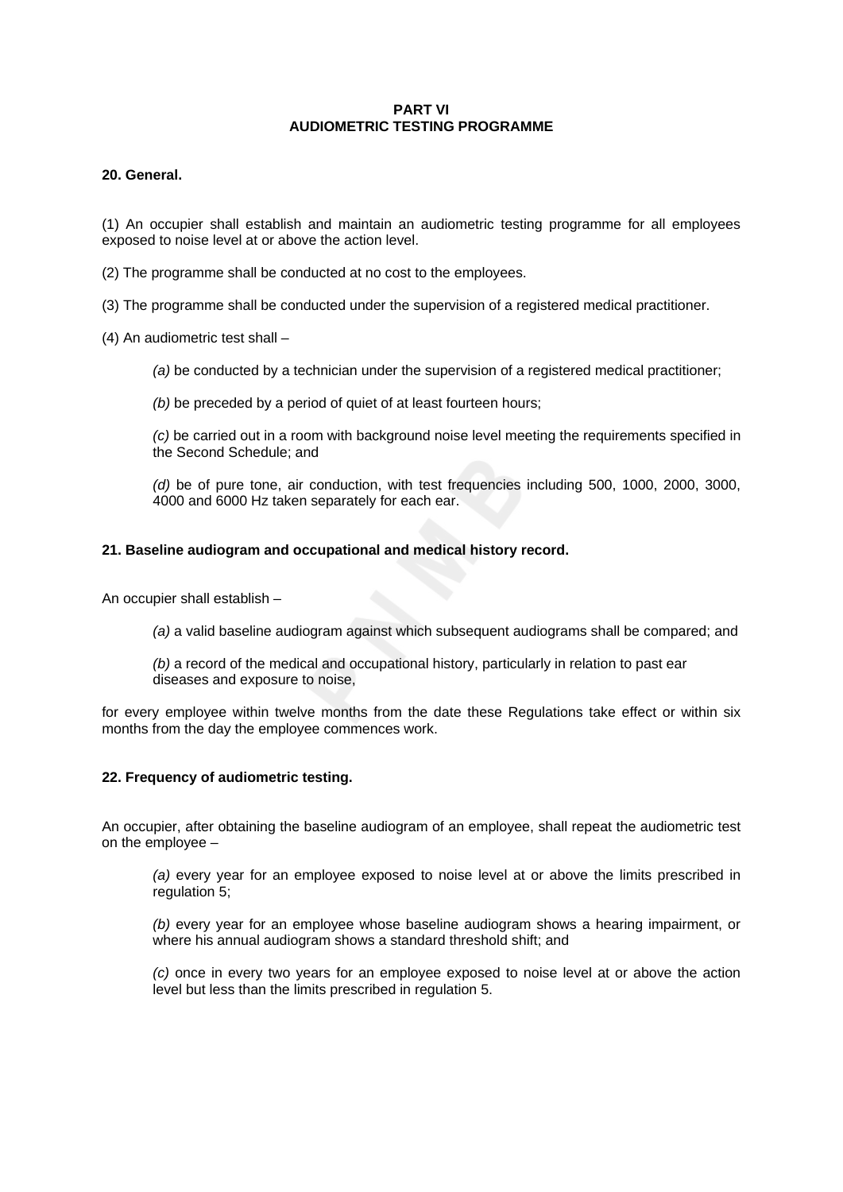## **PART VI AUDIOMETRIC TESTING PROGRAMME**

## **20. General.**

(1) An occupier shall establish and maintain an audiometric testing programme for all employees exposed to noise level at or above the action level.

- (2) The programme shall be conducted at no cost to the employees.
- (3) The programme shall be conducted under the supervision of a registered medical practitioner.
- (4) An audiometric test shall
	- *(a)* be conducted by a technician under the supervision of a registered medical practitioner;
	- *(b)* be preceded by a period of quiet of at least fourteen hours;

*(c)* be carried out in a room with background noise level meeting the requirements specified in the Second Schedule; and

*(d)* be of pure tone, air conduction, with test frequencies including 500, 1000, 2000, 3000, 4000 and 6000 Hz taken separately for each ear.

## **21. Baseline audiogram and occupational and medical history record.**

An occupier shall establish –

*(a)* a valid baseline audiogram against which subsequent audiograms shall be compared; and

*(b)* a record of the medical and occupational history, particularly in relation to past ear diseases and exposure to noise,

for every employee within twelve months from the date these Regulations take effect or within six months from the day the employee commences work.

## **22. Frequency of audiometric testing.**

An occupier, after obtaining the baseline audiogram of an employee, shall repeat the audiometric test on the employee –

*(a)* every year for an employee exposed to noise level at or above the limits prescribed in regulation 5;

*(b)* every year for an employee whose baseline audiogram shows a hearing impairment, or where his annual audiogram shows a standard threshold shift; and

*(c)* once in every two years for an employee exposed to noise level at or above the action level but less than the limits prescribed in regulation 5.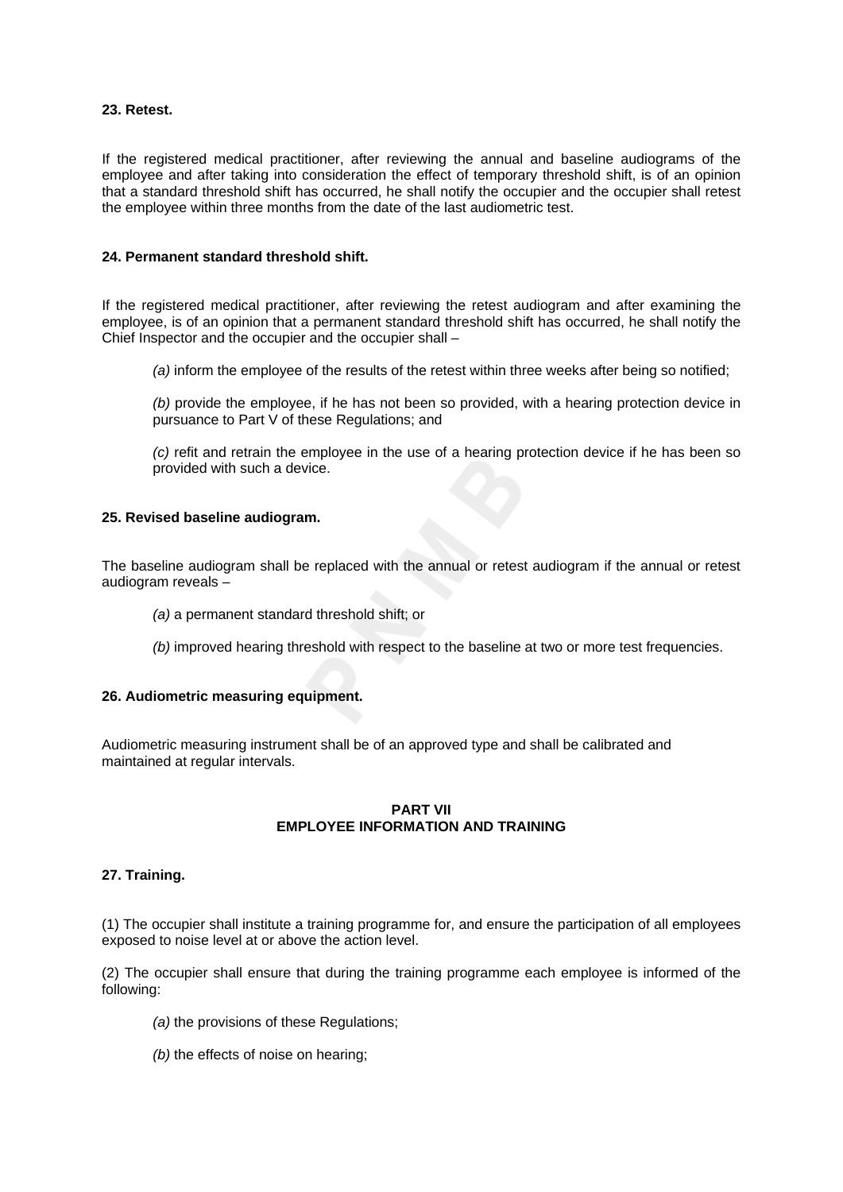## **23. Retest.**

If the registered medical practitioner, after reviewing the annual and baseline audiograms of the employee and after taking into consideration the effect of temporary threshold shift, is of an opinion that a standard threshold shift has occurred, he shall notify the occupier and the occupier shall retest the employee within three months from the date of the last audiometric test.

## **24. Permanent standard threshold shift.**

If the registered medical practitioner, after reviewing the retest audiogram and after examining the employee, is of an opinion that a permanent standard threshold shift has occurred, he shall notify the Chief Inspector and the occupier and the occupier shall –

*(a)* inform the employee of the results of the retest within three weeks after being so notified;

*(b)* provide the employee, if he has not been so provided, with a hearing protection device in pursuance to Part V of these Regulations; and

*(c)* refit and retrain the employee in the use of a hearing protection device if he has been so provided with such a device.

## **25. Revised baseline audiogram.**

The baseline audiogram shall be replaced with the annual or retest audiogram if the annual or retest audiogram reveals –

- *(a)* a permanent standard threshold shift; or
- *(b)* improved hearing threshold with respect to the baseline at two or more test frequencies.

#### **26. Audiometric measuring equipment.**

Audiometric measuring instrument shall be of an approved type and shall be calibrated and maintained at regular intervals.

#### **PART VII EMPLOYEE INFORMATION AND TRAINING**

#### **27. Training.**

(1) The occupier shall institute a training programme for, and ensure the participation of all employees exposed to noise level at or above the action level.

(2) The occupier shall ensure that during the training programme each employee is informed of the following:

- *(a)* the provisions of these Regulations;
- *(b)* the effects of noise on hearing;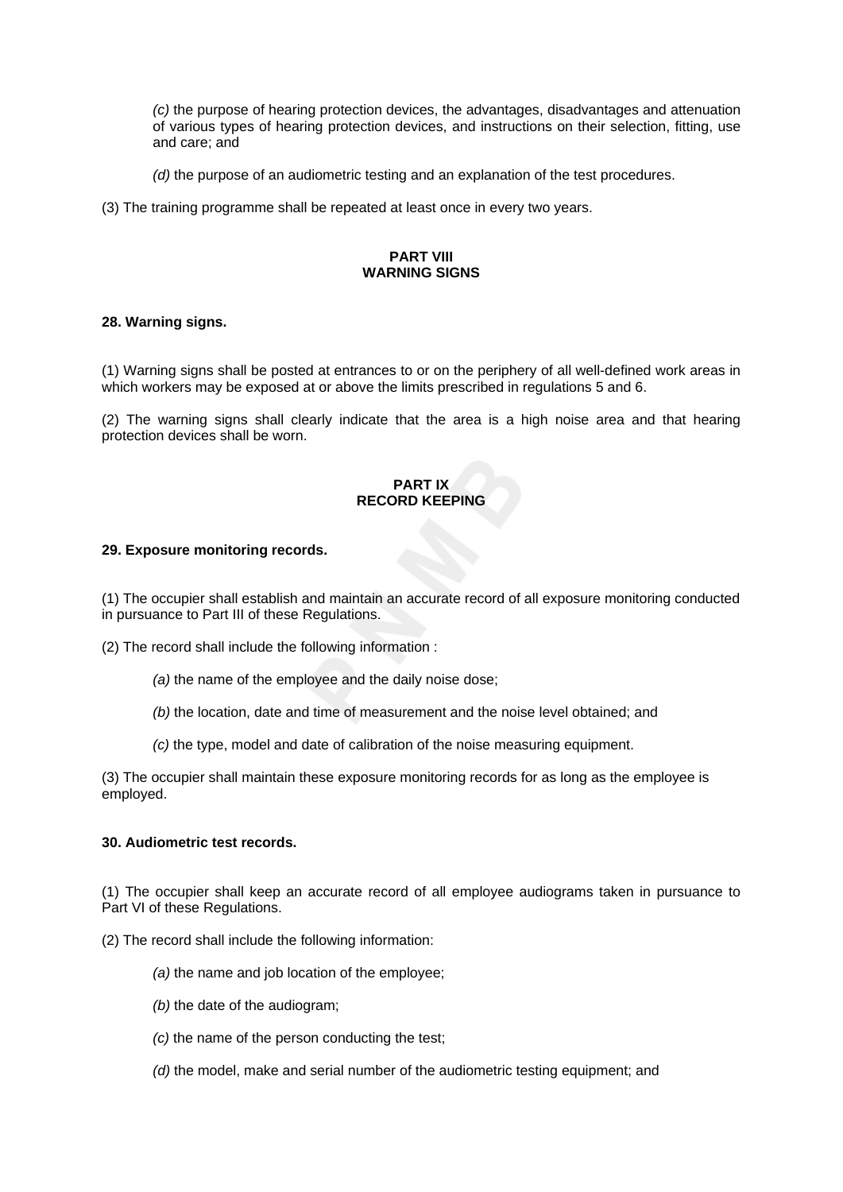*(c)* the purpose of hearing protection devices, the advantages, disadvantages and attenuation of various types of hearing protection devices, and instructions on their selection, fitting, use and care; and

- *(d)* the purpose of an audiometric testing and an explanation of the test procedures.
- (3) The training programme shall be repeated at least once in every two years.

#### **PART VIII WARNING SIGNS**

#### **28. Warning signs.**

(1) Warning signs shall be posted at entrances to or on the periphery of all well-defined work areas in which workers may be exposed at or above the limits prescribed in regulations 5 and 6.

(2) The warning signs shall clearly indicate that the area is a high noise area and that hearing protection devices shall be worn.

## **PART IX RECORD KEEPING**

## **29. Exposure monitoring records.**

(1) The occupier shall establish and maintain an accurate record of all exposure monitoring conducted in pursuance to Part III of these Regulations.

(2) The record shall include the following information :

- *(a)* the name of the employee and the daily noise dose;
- *(b)* the location, date and time of measurement and the noise level obtained; and
- *(c)* the type, model and date of calibration of the noise measuring equipment.

(3) The occupier shall maintain these exposure monitoring records for as long as the employee is employed.

## **30. Audiometric test records.**

(1) The occupier shall keep an accurate record of all employee audiograms taken in pursuance to Part VI of these Regulations.

- (2) The record shall include the following information:
	- *(a)* the name and job location of the employee;
	- *(b)* the date of the audiogram;
	- *(c)* the name of the person conducting the test;
	- *(d)* the model, make and serial number of the audiometric testing equipment; and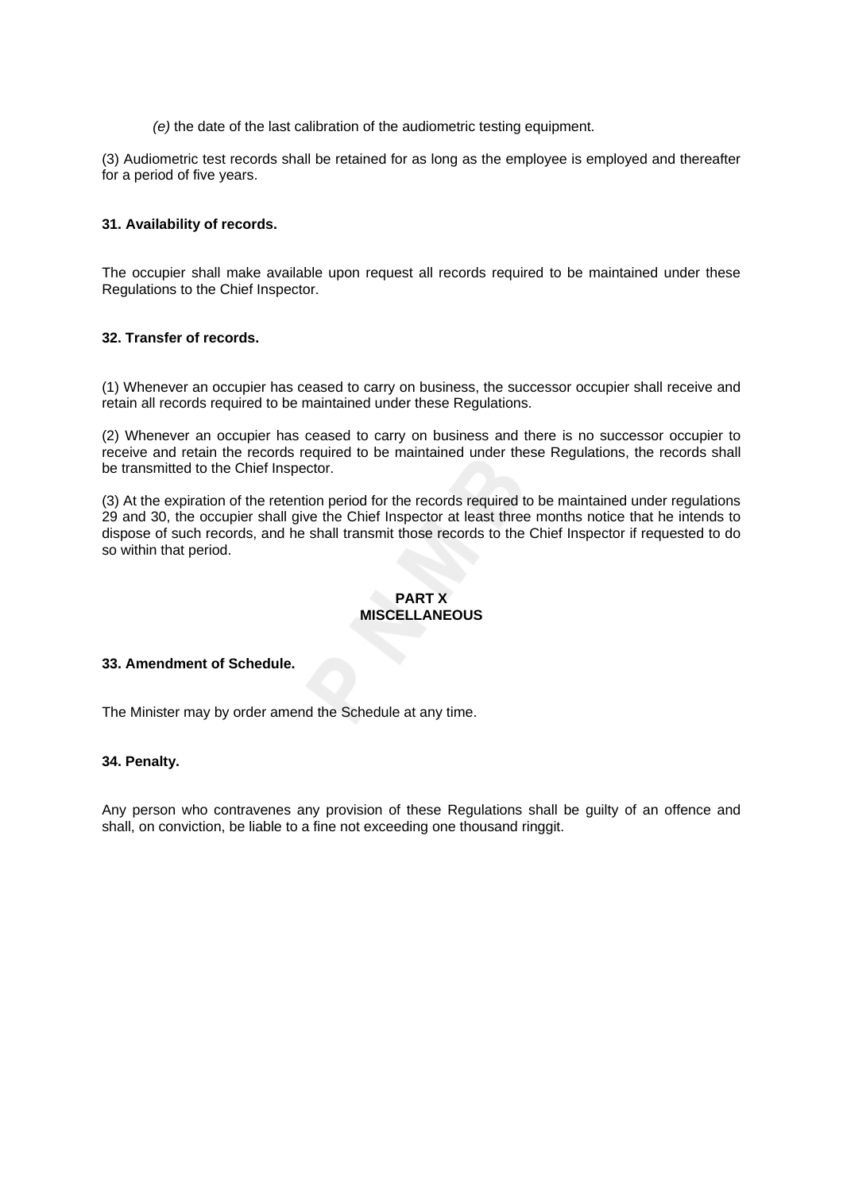*(e)* the date of the last calibration of the audiometric testing equipment.

(3) Audiometric test records shall be retained for as long as the employee is employed and thereafter for a period of five years.

## **31. Availability of records.**

The occupier shall make available upon request all records required to be maintained under these Regulations to the Chief Inspector.

## **32. Transfer of records.**

(1) Whenever an occupier has ceased to carry on business, the successor occupier shall receive and retain all records required to be maintained under these Regulations.

(2) Whenever an occupier has ceased to carry on business and there is no successor occupier to receive and retain the records required to be maintained under these Regulations, the records shall be transmitted to the Chief Inspector.

(3) At the expiration of the retention period for the records required to be maintained under regulations 29 and 30, the occupier shall give the Chief Inspector at least three months notice that he intends to dispose of such records, and he shall transmit those records to the Chief Inspector if requested to do so within that period.

## **PART X MISCELLANEOUS**

#### **33. Amendment of Schedule.**

The Minister may by order amend the Schedule at any time.

#### **34. Penalty.**

Any person who contravenes any provision of these Regulations shall be guilty of an offence and shall, on conviction, be liable to a fine not exceeding one thousand ringgit.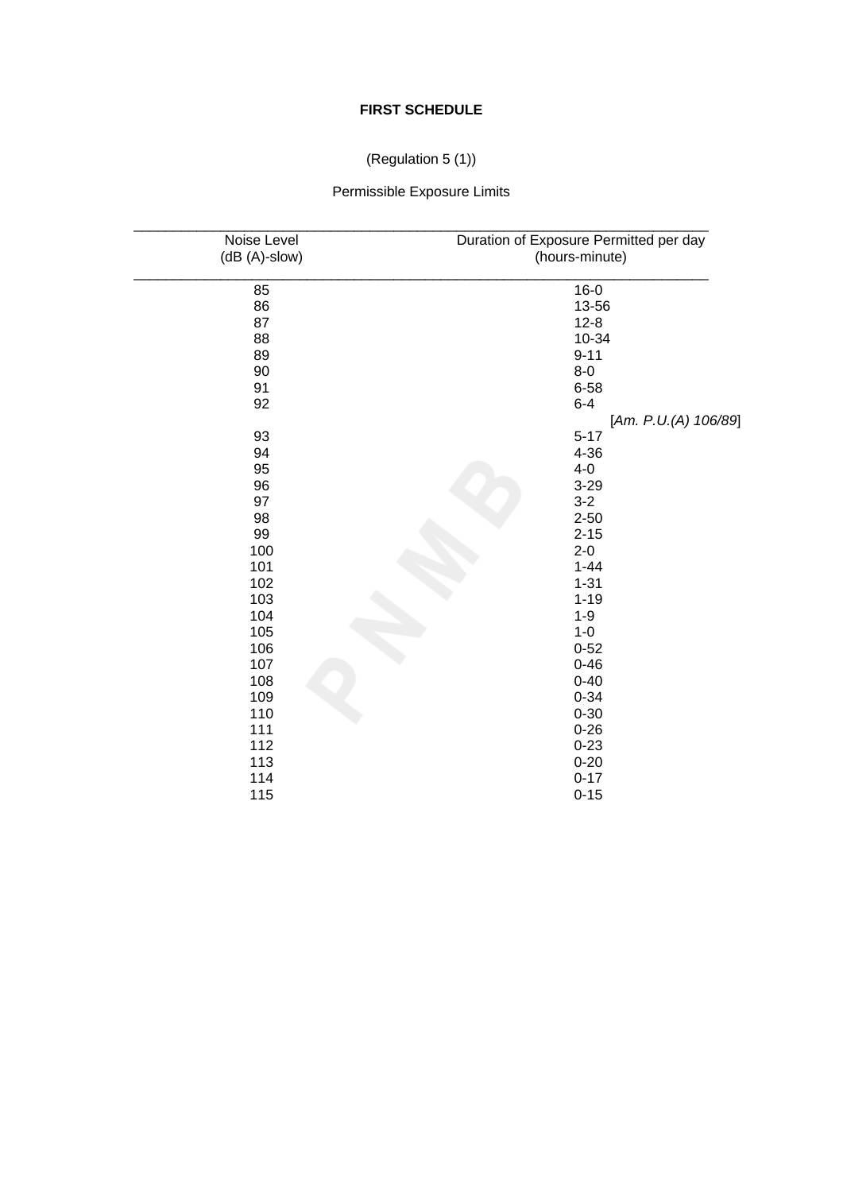## **FIRST SCHEDULE**

# (Regulation 5 (1))

# Permissible Exposure Limits

| Noise Level   | Duration of Exposure Permitted per day |  |  |  |
|---------------|----------------------------------------|--|--|--|
| (dB (A)-slow) | (hours-minute)                         |  |  |  |
| 85            | $16 - 0$                               |  |  |  |
| 86            | 13-56                                  |  |  |  |
| 87            | $12 - 8$                               |  |  |  |
| 88            | 10-34                                  |  |  |  |
| 89            | $9 - 11$                               |  |  |  |
| 90            | $8-0$                                  |  |  |  |
| 91            | $6 - 58$                               |  |  |  |
| 92            | $6 - 4$                                |  |  |  |
|               | [Am. P.U.(A) 106/89]                   |  |  |  |
| 93            | $5 - 17$                               |  |  |  |
| 94            | $4 - 36$                               |  |  |  |
| 95            | $4 - 0$                                |  |  |  |
| 96            | $3 - 29$                               |  |  |  |
| 97            | $3 - 2$                                |  |  |  |
| 98            | $2 - 50$                               |  |  |  |
| 99            | $2 - 15$                               |  |  |  |
| 100           | $2 - 0$                                |  |  |  |
| 101           | $1 - 44$                               |  |  |  |
| 102           | $1 - 31$                               |  |  |  |
| 103           | $1 - 19$                               |  |  |  |
| 104           | $1 - 9$                                |  |  |  |
| 105           | $1 - 0$                                |  |  |  |
| 106           | $0 - 52$                               |  |  |  |
| 107           | $0 - 46$                               |  |  |  |
| 108           | $0 - 40$                               |  |  |  |
| 109           | $0 - 34$                               |  |  |  |
| 110           | $0 - 30$                               |  |  |  |
| 111           | $0 - 26$                               |  |  |  |
| 112           | $0 - 23$                               |  |  |  |
| 113           | $0 - 20$                               |  |  |  |
| 114           | $0 - 17$                               |  |  |  |
| 115           | $0 - 15$                               |  |  |  |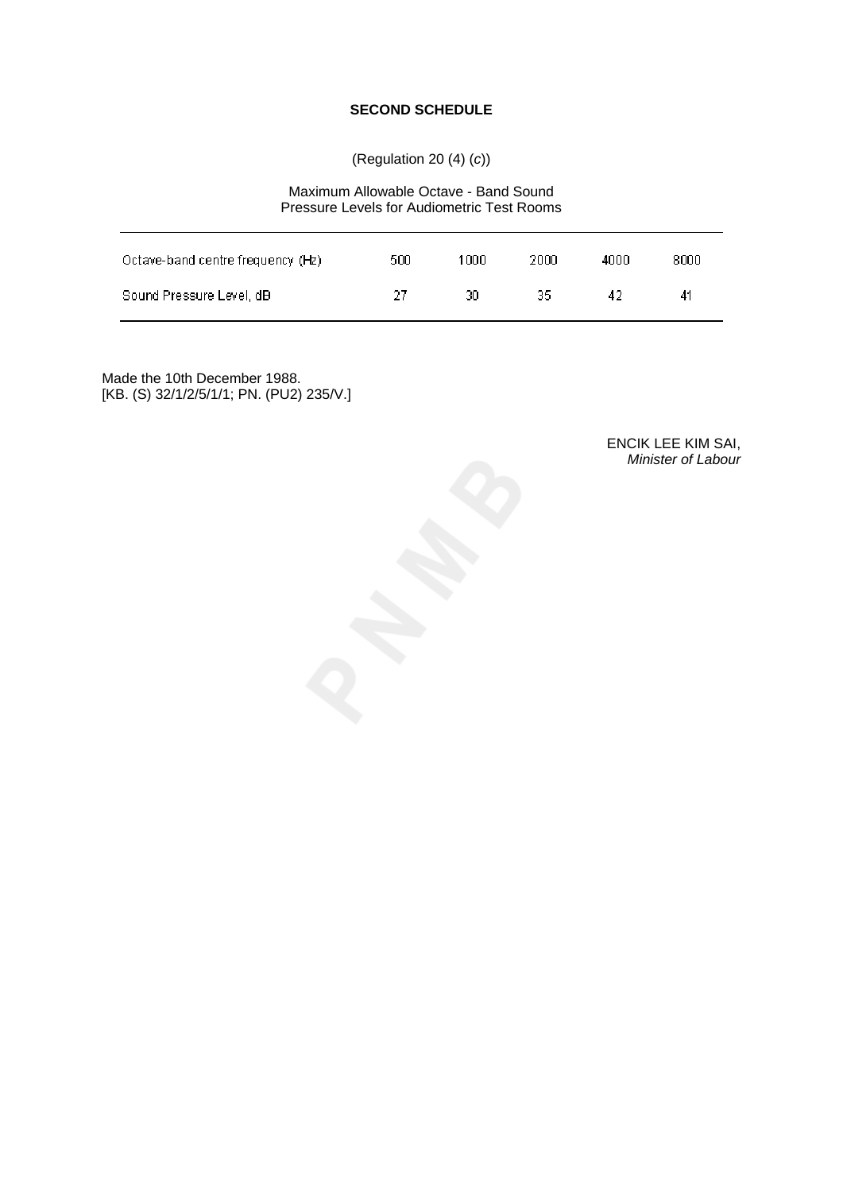## **SECOND SCHEDULE**

(Regulation 20 (4) (*c*))

## Maximum Allowable Octave - Band Sound Pressure Levels for Audiometric Test Rooms

| Octave-band centre frequency (Hz) | 500 | 1000 | 2000 | 4000 | 8000 |
|-----------------------------------|-----|------|------|------|------|
| Sound Pressure Level, dB          | 27  | 30   | 35   | 42   | 41   |

Made the 10th December 1988. [KB. (S) 32/1/2/5/1/1; PN. (PU2) 235/V.]

> ENCIK LEE KIM SAI, *Minister of Labour*